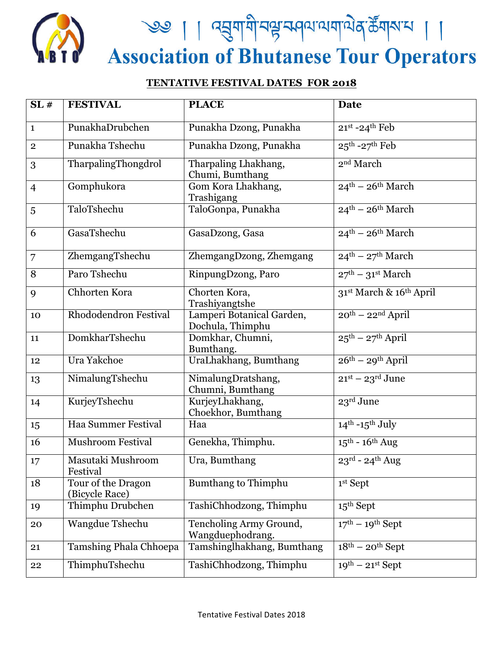

<u>९७ | ।</u> द्युषायी पश्च स्वत्याययायेव के यहास | ।<br>Association of Bhutanese Tour Operators

## **TENTATIVE FESTIVAL DATES FOR 2018**

| SL#            | <b>FESTIVAL</b>                      | <b>PLACE</b>                                  | <b>Date</b>                             |
|----------------|--------------------------------------|-----------------------------------------------|-----------------------------------------|
| $\mathbf{1}$   | PunakhaDrubchen                      | Punakha Dzong, Punakha                        | $21^{st}$ -24 <sup>th</sup> Feb         |
| $\mathbf{2}$   | Punakha Tshechu                      | Punakha Dzong, Punakha                        | $25^{\text{th}}$ -27 <sup>th</sup> Feb  |
| 3              | TharpalingThongdrol                  | Tharpaling Lhakhang,<br>Chumi, Bumthang       | 2 <sup>nd</sup> March                   |
| $\overline{4}$ | Gomphukora                           | Gom Kora Lhakhang,<br>Trashigang              | $24^{\text{th}} - 26^{\text{th}}$ March |
| 5              | TaloTshechu                          | TaloGonpa, Punakha                            | $24^{\text{th}} - 26^{\text{th}}$ March |
| 6              | GasaTshechu                          | GasaDzong, Gasa                               | $24^{\text{th}} - 26^{\text{th}}$ March |
| 7              | ZhemgangTshechu                      | ZhemgangDzong, Zhemgang                       | $24^{\text{th}} - 27^{\text{th}}$ March |
| 8              | Paro Tshechu                         | RinpungDzong, Paro                            | $27th - 31st March$                     |
| 9              | Chhorten Kora                        | Chorten Kora,<br>Trashiyangtshe               | 31st March & 16th April                 |
| 10             | Rhododendron Festival                | Lamperi Botanical Garden,<br>Dochula, Thimphu | $20^{th}$ – $22^{nd}$ April             |
| 11             | DomkharTshechu                       | Domkhar, Chumni,<br>Bumthang.                 | $25^{\text{th}} - 27^{\text{th}}$ April |
| 12             | Ura Yakchoe                          | UraLhakhang, Bumthang                         | $26th - 29th$ April                     |
| 13             | NimalungTshechu                      | NimalungDratshang,<br>Chumni, Bumthang        | $21st - 23rd June$                      |
| 14             | KurjeyTshechu                        | KurjeyLhakhang,<br>Choekhor, Bumthang         | 23rd June                               |
| 15             | Haa Summer Festival                  | Haa                                           | $14th - 15th July$                      |
| 16             | <b>Mushroom Festival</b>             | Genekha, Thimphu.                             | $15^{\text{th}}$ - $16^{\text{th}}$ Aug |
| 17             | Masutaki Mushroom<br>Festival        | Ura, Bumthang                                 | $23^{\text{rd}}$ - $24^{\text{th}}$ Aug |
| 18             | Tour of the Dragon<br>(Bicycle Race) | Bumthang to Thimphu                           | 1st Sept                                |
| 19             | Thimphu Drubchen                     | TashiChhodzong, Thimphu                       | $15th$ Sept                             |
| 20             | Wangdue Tshechu                      | Tencholing Army Ground,<br>Wangduephodrang.   | $17th - 19th$ Sept                      |
| 21             | Tamshing Phala Chhoepa               | Tamshinglhakhang, Bumthang                    | $18th - 20th$ Sept                      |
| 22             | ThimphuTshechu                       | TashiChhodzong, Thimphu                       | $19^{th}$ – $21^{st}$ Sept              |